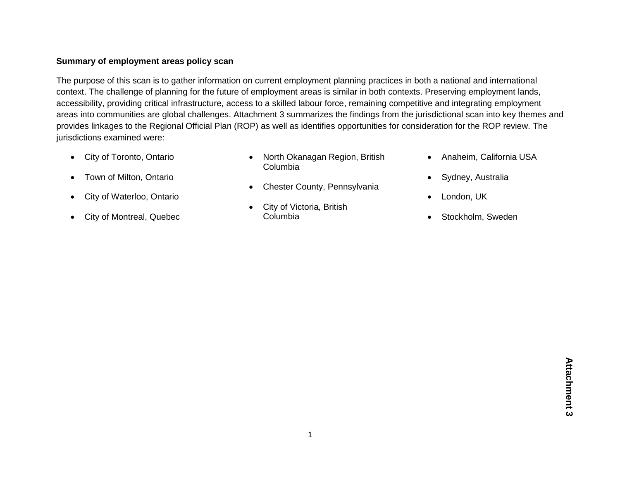## **Summary of employment areas policy scan**

The purpose of this scan is to gather information on current employment planning practices in both a national and international context. The challenge of planning for the future of employment areas is similar in both contexts. Preserving employment lands, accessibility, providing critical infrastructure, access to a skilled labour force, remaining competitive and integrating employment areas into communities are global challenges. Attachment 3 summarizes the findings from the jurisdictional scan into key themes and provides linkages to the Regional Official Plan (ROP) as well as identifies opportunities for consideration for the ROP review. The jurisdictions examined were:

• City of Toronto, Ontario

• Town of Milton, Ontario

City of Waterloo, Ontario

City of Montreal, Quebec

- North Okanagan Region, British Columbia
- Chester County, Pennsylvania
- City of Victoria, British Columbia
- Anaheim, California USA
- Sydney, Australia
- London, UK
- Stockholm, Sweden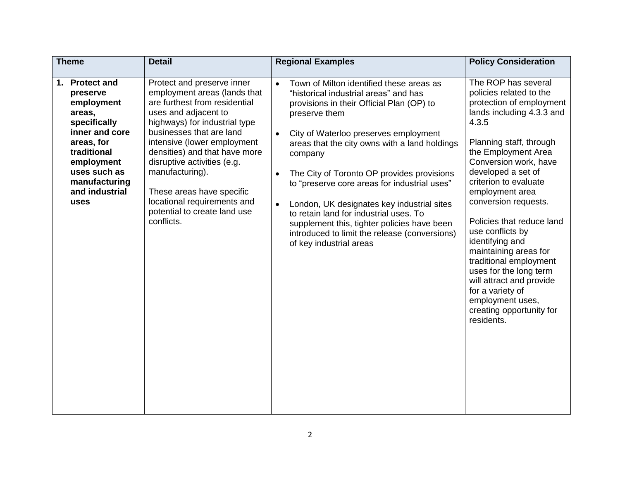| <b>Theme</b>                                                                                                                                                                                         | <b>Detail</b>                                                                                                                                                                                                                                                                                                                                                                                                | <b>Regional Examples</b>                                                                                                                                                                                                                                                                                                                                                                                                                                                                                                                                                                                                  | <b>Policy Consideration</b>                                                                                                                                                                                                                                                                                                                                                                                                                                                                                                                          |
|------------------------------------------------------------------------------------------------------------------------------------------------------------------------------------------------------|--------------------------------------------------------------------------------------------------------------------------------------------------------------------------------------------------------------------------------------------------------------------------------------------------------------------------------------------------------------------------------------------------------------|---------------------------------------------------------------------------------------------------------------------------------------------------------------------------------------------------------------------------------------------------------------------------------------------------------------------------------------------------------------------------------------------------------------------------------------------------------------------------------------------------------------------------------------------------------------------------------------------------------------------------|------------------------------------------------------------------------------------------------------------------------------------------------------------------------------------------------------------------------------------------------------------------------------------------------------------------------------------------------------------------------------------------------------------------------------------------------------------------------------------------------------------------------------------------------------|
| <b>Protect and</b><br>1.<br>preserve<br>employment<br>areas,<br>specifically<br>inner and core<br>areas, for<br>traditional<br>employment<br>uses such as<br>manufacturing<br>and industrial<br>uses | Protect and preserve inner<br>employment areas (lands that<br>are furthest from residential<br>uses and adjacent to<br>highways) for industrial type<br>businesses that are land<br>intensive (lower employment<br>densities) and that have more<br>disruptive activities (e.g.<br>manufacturing).<br>These areas have specific<br>locational requirements and<br>potential to create land use<br>conflicts. | Town of Milton identified these areas as<br>$\bullet$<br>"historical industrial areas" and has<br>provisions in their Official Plan (OP) to<br>preserve them<br>City of Waterloo preserves employment<br>$\bullet$<br>areas that the city owns with a land holdings<br>company<br>The City of Toronto OP provides provisions<br>$\bullet$<br>to "preserve core areas for industrial uses"<br>London, UK designates key industrial sites<br>$\bullet$<br>to retain land for industrial uses. To<br>supplement this, tighter policies have been<br>introduced to limit the release (conversions)<br>of key industrial areas | The ROP has several<br>policies related to the<br>protection of employment<br>lands including 4.3.3 and<br>4.3.5<br>Planning staff, through<br>the Employment Area<br>Conversion work, have<br>developed a set of<br>criterion to evaluate<br>employment area<br>conversion requests.<br>Policies that reduce land<br>use conflicts by<br>identifying and<br>maintaining areas for<br>traditional employment<br>uses for the long term<br>will attract and provide<br>for a variety of<br>employment uses,<br>creating opportunity for<br>residents. |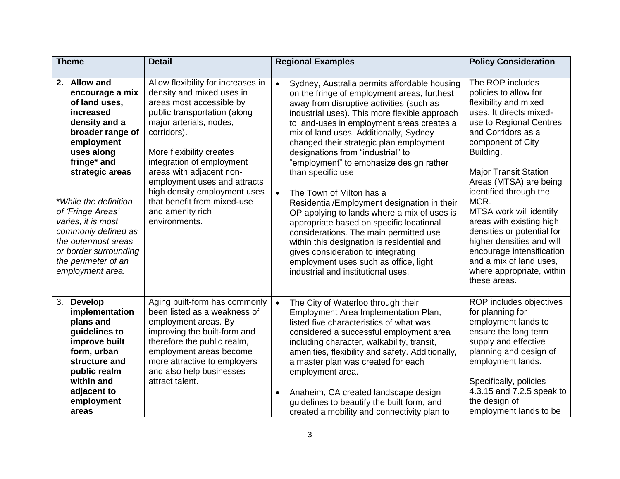| <b>Theme</b>                                                                                                                                                                                                                                                                                                                                           | <b>Detail</b>                                                                                                                                                                                                                                                                                                                                                                                  | <b>Regional Examples</b>                                                                                                                                                                                                                                                                                                                                                                                                                                                                                                                                                                                                                                                                                                                                                                                                                      | <b>Policy Consideration</b>                                                                                                                                                                                                                                                                                                                                                                                                                                                                         |
|--------------------------------------------------------------------------------------------------------------------------------------------------------------------------------------------------------------------------------------------------------------------------------------------------------------------------------------------------------|------------------------------------------------------------------------------------------------------------------------------------------------------------------------------------------------------------------------------------------------------------------------------------------------------------------------------------------------------------------------------------------------|-----------------------------------------------------------------------------------------------------------------------------------------------------------------------------------------------------------------------------------------------------------------------------------------------------------------------------------------------------------------------------------------------------------------------------------------------------------------------------------------------------------------------------------------------------------------------------------------------------------------------------------------------------------------------------------------------------------------------------------------------------------------------------------------------------------------------------------------------|-----------------------------------------------------------------------------------------------------------------------------------------------------------------------------------------------------------------------------------------------------------------------------------------------------------------------------------------------------------------------------------------------------------------------------------------------------------------------------------------------------|
| 2. Allow and<br>encourage a mix<br>of land uses,<br>increased<br>density and a<br>broader range of<br>employment<br>uses along<br>fringe* and<br>strategic areas<br>*While the definition<br>of 'Fringe Areas'<br>varies, it is most<br>commonly defined as<br>the outermost areas<br>or border surrounding<br>the perimeter of an<br>employment area. | Allow flexibility for increases in<br>density and mixed uses in<br>areas most accessible by<br>public transportation (along<br>major arterials, nodes,<br>corridors).<br>More flexibility creates<br>integration of employment<br>areas with adjacent non-<br>employment uses and attracts<br>high density employment uses<br>that benefit from mixed-use<br>and amenity rich<br>environments. | Sydney, Australia permits affordable housing<br>$\bullet$<br>on the fringe of employment areas, furthest<br>away from disruptive activities (such as<br>industrial uses). This more flexible approach<br>to land-uses in employment areas creates a<br>mix of land uses. Additionally, Sydney<br>changed their strategic plan employment<br>designations from "industrial" to<br>"employment" to emphasize design rather<br>than specific use<br>The Town of Milton has a<br>$\bullet$<br>Residential/Employment designation in their<br>OP applying to lands where a mix of uses is<br>appropriate based on specific locational<br>considerations. The main permitted use<br>within this designation is residential and<br>gives consideration to integrating<br>employment uses such as office, light<br>industrial and institutional uses. | The ROP includes<br>policies to allow for<br>flexibility and mixed<br>uses. It directs mixed-<br>use to Regional Centres<br>and Corridors as a<br>component of City<br>Building.<br><b>Major Transit Station</b><br>Areas (MTSA) are being<br>identified through the<br>MCR.<br>MTSA work will identify<br>areas with existing high<br>densities or potential for<br>higher densities and will<br>encourage intensification<br>and a mix of land uses,<br>where appropriate, within<br>these areas. |
| <b>Develop</b><br>3.<br>implementation<br>plans and<br>guidelines to<br>improve built<br>form, urban<br>structure and<br>public realm<br>within and<br>adjacent to<br>employment<br>areas                                                                                                                                                              | Aging built-form has commonly<br>been listed as a weakness of<br>employment areas. By<br>improving the built-form and<br>therefore the public realm,<br>employment areas become<br>more attractive to employers<br>and also help businesses<br>attract talent.                                                                                                                                 | The City of Waterloo through their<br>$\bullet$<br>Employment Area Implementation Plan,<br>listed five characteristics of what was<br>considered a successful employment area<br>including character, walkability, transit,<br>amenities, flexibility and safety. Additionally,<br>a master plan was created for each<br>employment area.<br>Anaheim, CA created landscape design<br>$\bullet$<br>guidelines to beautify the built form, and<br>created a mobility and connectivity plan to                                                                                                                                                                                                                                                                                                                                                   | ROP includes objectives<br>for planning for<br>employment lands to<br>ensure the long term<br>supply and effective<br>planning and design of<br>employment lands.<br>Specifically, policies<br>4.3.15 and 7.2.5 speak to<br>the design of<br>employment lands to be                                                                                                                                                                                                                                 |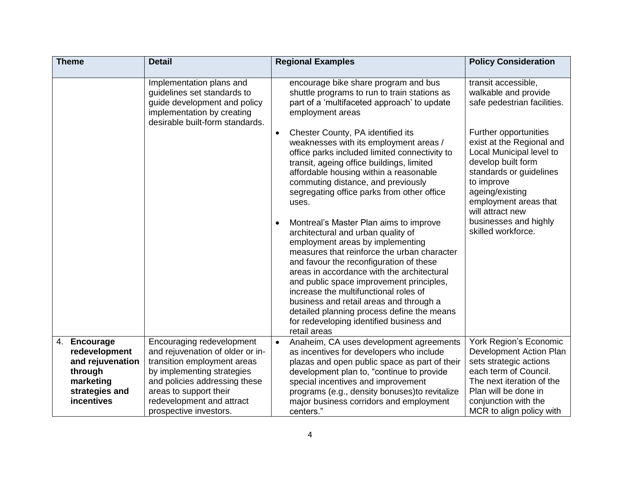|    | <b>Theme</b>                      | <b>Detail</b>                                                                                                                                            | <b>Regional Examples</b>                                                                                                                                                                                                                                                                                                                                                                                                                                                                                                                                                                                                                                                                                                                                                                                                                                                                                                                                                          | <b>Policy Consideration</b>                                                                                                                                                                                                                                                                                                                |
|----|-----------------------------------|----------------------------------------------------------------------------------------------------------------------------------------------------------|-----------------------------------------------------------------------------------------------------------------------------------------------------------------------------------------------------------------------------------------------------------------------------------------------------------------------------------------------------------------------------------------------------------------------------------------------------------------------------------------------------------------------------------------------------------------------------------------------------------------------------------------------------------------------------------------------------------------------------------------------------------------------------------------------------------------------------------------------------------------------------------------------------------------------------------------------------------------------------------|--------------------------------------------------------------------------------------------------------------------------------------------------------------------------------------------------------------------------------------------------------------------------------------------------------------------------------------------|
|    |                                   | Implementation plans and<br>guidelines set standards to<br>guide development and policy<br>implementation by creating<br>desirable built-form standards. | encourage bike share program and bus<br>shuttle programs to run to train stations as<br>part of a 'multifaceted approach' to update<br>employment areas<br>Chester County, PA identified its<br>weaknesses with its employment areas /<br>office parks included limited connectivity to<br>transit, ageing office buildings, limited<br>affordable housing within a reasonable<br>commuting distance, and previously<br>segregating office parks from other office<br>uses.<br>Montreal's Master Plan aims to improve<br>architectural and urban quality of<br>employment areas by implementing<br>measures that reinforce the urban character<br>and favour the reconfiguration of these<br>areas in accordance with the architectural<br>and public space improvement principles,<br>increase the multifunctional roles of<br>business and retail areas and through a<br>detailed planning process define the means<br>for redeveloping identified business and<br>retail areas | transit accessible,<br>walkable and provide<br>safe pedestrian facilities.<br>Further opportunities<br>exist at the Regional and<br>Local Municipal level to<br>develop built form<br>standards or guidelines<br>to improve<br>ageing/existing<br>employment areas that<br>will attract new<br>businesses and highly<br>skilled workforce. |
| 4. | <b>Encourage</b>                  | Encouraging redevelopment                                                                                                                                | Anaheim, CA uses development agreements                                                                                                                                                                                                                                                                                                                                                                                                                                                                                                                                                                                                                                                                                                                                                                                                                                                                                                                                           | York Region's Economic                                                                                                                                                                                                                                                                                                                     |
|    | redevelopment<br>and rejuvenation | and rejuvenation of older or in-<br>transition employment areas                                                                                          | as incentives for developers who include<br>plazas and open public space as part of their                                                                                                                                                                                                                                                                                                                                                                                                                                                                                                                                                                                                                                                                                                                                                                                                                                                                                         | Development Action Plan<br>sets strategic actions                                                                                                                                                                                                                                                                                          |
|    | through                           | by implementing strategies                                                                                                                               | development plan to, "continue to provide                                                                                                                                                                                                                                                                                                                                                                                                                                                                                                                                                                                                                                                                                                                                                                                                                                                                                                                                         | each term of Council.                                                                                                                                                                                                                                                                                                                      |
|    | marketing                         | and policies addressing these                                                                                                                            | special incentives and improvement                                                                                                                                                                                                                                                                                                                                                                                                                                                                                                                                                                                                                                                                                                                                                                                                                                                                                                                                                | The next iteration of the                                                                                                                                                                                                                                                                                                                  |
|    | strategies and                    | areas to support their                                                                                                                                   | programs (e.g., density bonuses)to revitalize                                                                                                                                                                                                                                                                                                                                                                                                                                                                                                                                                                                                                                                                                                                                                                                                                                                                                                                                     | Plan will be done in                                                                                                                                                                                                                                                                                                                       |
|    | incentives                        | redevelopment and attract<br>prospective investors.                                                                                                      | major business corridors and employment<br>centers."                                                                                                                                                                                                                                                                                                                                                                                                                                                                                                                                                                                                                                                                                                                                                                                                                                                                                                                              | conjunction with the<br>MCR to align policy with                                                                                                                                                                                                                                                                                           |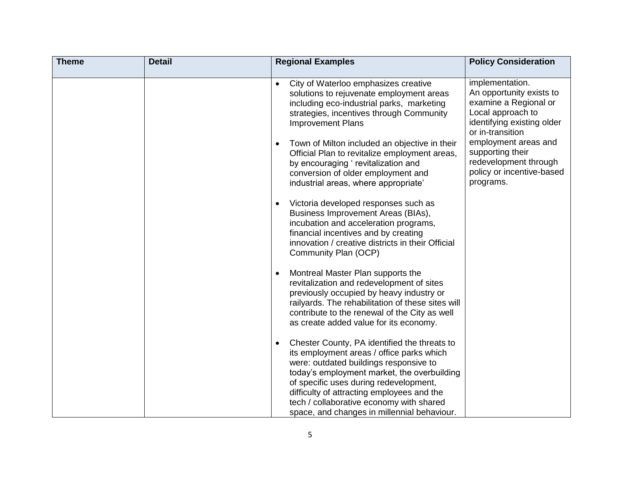| <b>Theme</b> | <b>Detail</b> | <b>Regional Examples</b>                                                                                                                                                                                                                                                                                                                                                                                                                                                                                                                                                                                | <b>Policy Consideration</b>                                                                                                                                                                                                                                |
|--------------|---------------|---------------------------------------------------------------------------------------------------------------------------------------------------------------------------------------------------------------------------------------------------------------------------------------------------------------------------------------------------------------------------------------------------------------------------------------------------------------------------------------------------------------------------------------------------------------------------------------------------------|------------------------------------------------------------------------------------------------------------------------------------------------------------------------------------------------------------------------------------------------------------|
|              |               | City of Waterloo emphasizes creative<br>solutions to rejuvenate employment areas<br>including eco-industrial parks, marketing<br>strategies, incentives through Community<br><b>Improvement Plans</b><br>Town of Milton included an objective in their<br>$\bullet$<br>Official Plan to revitalize employment areas,<br>by encouraging 'revitalization and<br>conversion of older employment and<br>industrial areas, where appropriate'<br>Victoria developed responses such as<br>Business Improvement Areas (BIAs),<br>incubation and acceleration programs,<br>financial incentives and by creating | implementation.<br>An opportunity exists to<br>examine a Regional or<br>Local approach to<br>identifying existing older<br>or in-transition<br>employment areas and<br>supporting their<br>redevelopment through<br>policy or incentive-based<br>programs. |
|              |               | innovation / creative districts in their Official<br>Community Plan (OCP)<br>Montreal Master Plan supports the<br>revitalization and redevelopment of sites<br>previously occupied by heavy industry or<br>railyards. The rehabilitation of these sites will<br>contribute to the renewal of the City as well<br>as create added value for its economy.<br>Chester County, PA identified the threats to<br>its employment areas / office parks which<br>were: outdated buildings responsive to<br>today's employment market, the overbuilding<br>of specific uses during redevelopment,                 |                                                                                                                                                                                                                                                            |
|              |               | difficulty of attracting employees and the<br>tech / collaborative economy with shared<br>space, and changes in millennial behaviour.                                                                                                                                                                                                                                                                                                                                                                                                                                                                   |                                                                                                                                                                                                                                                            |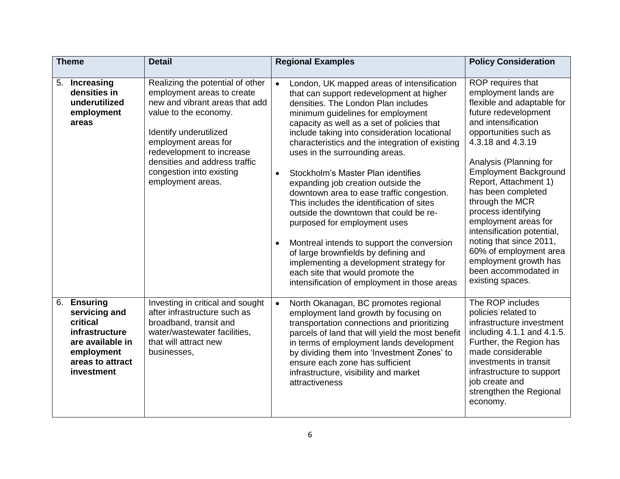| <b>Theme</b> |                                                                                                                                    | <b>Detail</b>                                                                                                                                                                                                                                                                              |                        | <b>Regional Examples</b>                                                                                                                                                                                                                                                                                                                                                                                                                                                                                                                                                                                                                                                                                                                                                                                                   | <b>Policy Consideration</b>                                                                                                                                                                                                                                                                                                                                                                                                                                                                             |
|--------------|------------------------------------------------------------------------------------------------------------------------------------|--------------------------------------------------------------------------------------------------------------------------------------------------------------------------------------------------------------------------------------------------------------------------------------------|------------------------|----------------------------------------------------------------------------------------------------------------------------------------------------------------------------------------------------------------------------------------------------------------------------------------------------------------------------------------------------------------------------------------------------------------------------------------------------------------------------------------------------------------------------------------------------------------------------------------------------------------------------------------------------------------------------------------------------------------------------------------------------------------------------------------------------------------------------|---------------------------------------------------------------------------------------------------------------------------------------------------------------------------------------------------------------------------------------------------------------------------------------------------------------------------------------------------------------------------------------------------------------------------------------------------------------------------------------------------------|
|              | 5. Increasing<br>densities in<br>underutilized<br>employment<br>areas                                                              | Realizing the potential of other<br>employment areas to create<br>new and vibrant areas that add<br>value to the economy.<br>Identify underutilized<br>employment areas for<br>redevelopment to increase<br>densities and address traffic<br>congestion into existing<br>employment areas. | $\bullet$<br>$\bullet$ | London, UK mapped areas of intensification<br>that can support redevelopment at higher<br>densities. The London Plan includes<br>minimum guidelines for employment<br>capacity as well as a set of policies that<br>include taking into consideration locational<br>characteristics and the integration of existing<br>uses in the surrounding areas.<br>Stockholm's Master Plan identifies<br>expanding job creation outside the<br>downtown area to ease traffic congestion.<br>This includes the identification of sites<br>outside the downtown that could be re-<br>purposed for employment uses<br>Montreal intends to support the conversion<br>of large brownfields by defining and<br>implementing a development strategy for<br>each site that would promote the<br>intensification of employment in those areas | ROP requires that<br>employment lands are<br>flexible and adaptable for<br>future redevelopment<br>and intensification<br>opportunities such as<br>4.3.18 and 4.3.19<br>Analysis (Planning for<br><b>Employment Background</b><br>Report, Attachment 1)<br>has been completed<br>through the MCR<br>process identifying<br>employment areas for<br>intensification potential,<br>noting that since 2011,<br>60% of employment area<br>employment growth has<br>been accommodated in<br>existing spaces. |
| 6.           | <b>Ensuring</b><br>servicing and<br>critical<br>infrastructure<br>are available in<br>employment<br>areas to attract<br>investment | Investing in critical and sought<br>after infrastructure such as<br>broadband, transit and<br>water/wastewater facilities,<br>that will attract new<br>businesses,                                                                                                                         | $\bullet$              | North Okanagan, BC promotes regional<br>employment land growth by focusing on<br>transportation connections and prioritizing<br>parcels of land that will yield the most benefit<br>in terms of employment lands development<br>by dividing them into 'Investment Zones' to<br>ensure each zone has sufficient<br>infrastructure, visibility and market<br>attractiveness                                                                                                                                                                                                                                                                                                                                                                                                                                                  | The ROP includes<br>policies related to<br>infrastructure investment<br>including 4.1.1 and 4.1.5.<br>Further, the Region has<br>made considerable<br>investments in transit<br>infrastructure to support<br>job create and<br>strengthen the Regional<br>economy.                                                                                                                                                                                                                                      |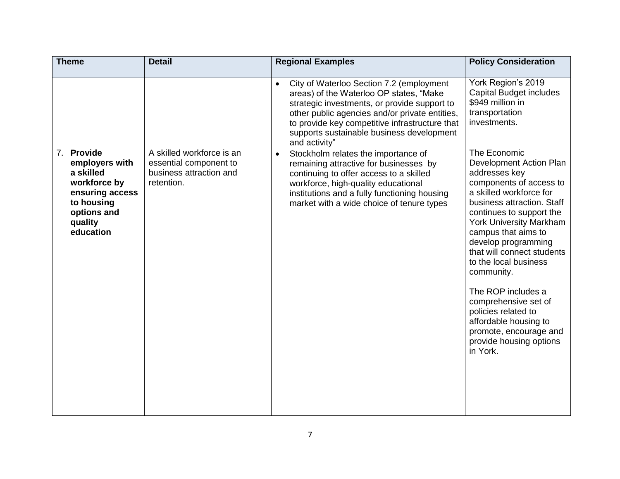| <b>Theme</b>                                                                                                                                | <b>Detail</b>                                                                                | <b>Regional Examples</b>                                                                                                                                                                                                                                                                                           | <b>Policy Consideration</b>                                                                                                                                                                                                                                                                                                                                                                                                                                                                  |
|---------------------------------------------------------------------------------------------------------------------------------------------|----------------------------------------------------------------------------------------------|--------------------------------------------------------------------------------------------------------------------------------------------------------------------------------------------------------------------------------------------------------------------------------------------------------------------|----------------------------------------------------------------------------------------------------------------------------------------------------------------------------------------------------------------------------------------------------------------------------------------------------------------------------------------------------------------------------------------------------------------------------------------------------------------------------------------------|
|                                                                                                                                             |                                                                                              | City of Waterloo Section 7.2 (employment<br>$\bullet$<br>areas) of the Waterloo OP states, "Make<br>strategic investments, or provide support to<br>other public agencies and/or private entities,<br>to provide key competitive infrastructure that<br>supports sustainable business development<br>and activity" | York Region's 2019<br><b>Capital Budget includes</b><br>\$949 million in<br>transportation<br>investments.                                                                                                                                                                                                                                                                                                                                                                                   |
| <b>Provide</b><br>7.<br>employers with<br>a skilled<br>workforce by<br>ensuring access<br>to housing<br>options and<br>quality<br>education | A skilled workforce is an<br>essential component to<br>business attraction and<br>retention. | Stockholm relates the importance of<br>$\bullet$<br>remaining attractive for businesses by<br>continuing to offer access to a skilled<br>workforce, high-quality educational<br>institutions and a fully functioning housing<br>market with a wide choice of tenure types                                          | The Economic<br>Development Action Plan<br>addresses key<br>components of access to<br>a skilled workforce for<br>business attraction. Staff<br>continues to support the<br><b>York University Markham</b><br>campus that aims to<br>develop programming<br>that will connect students<br>to the local business<br>community.<br>The ROP includes a<br>comprehensive set of<br>policies related to<br>affordable housing to<br>promote, encourage and<br>provide housing options<br>in York. |